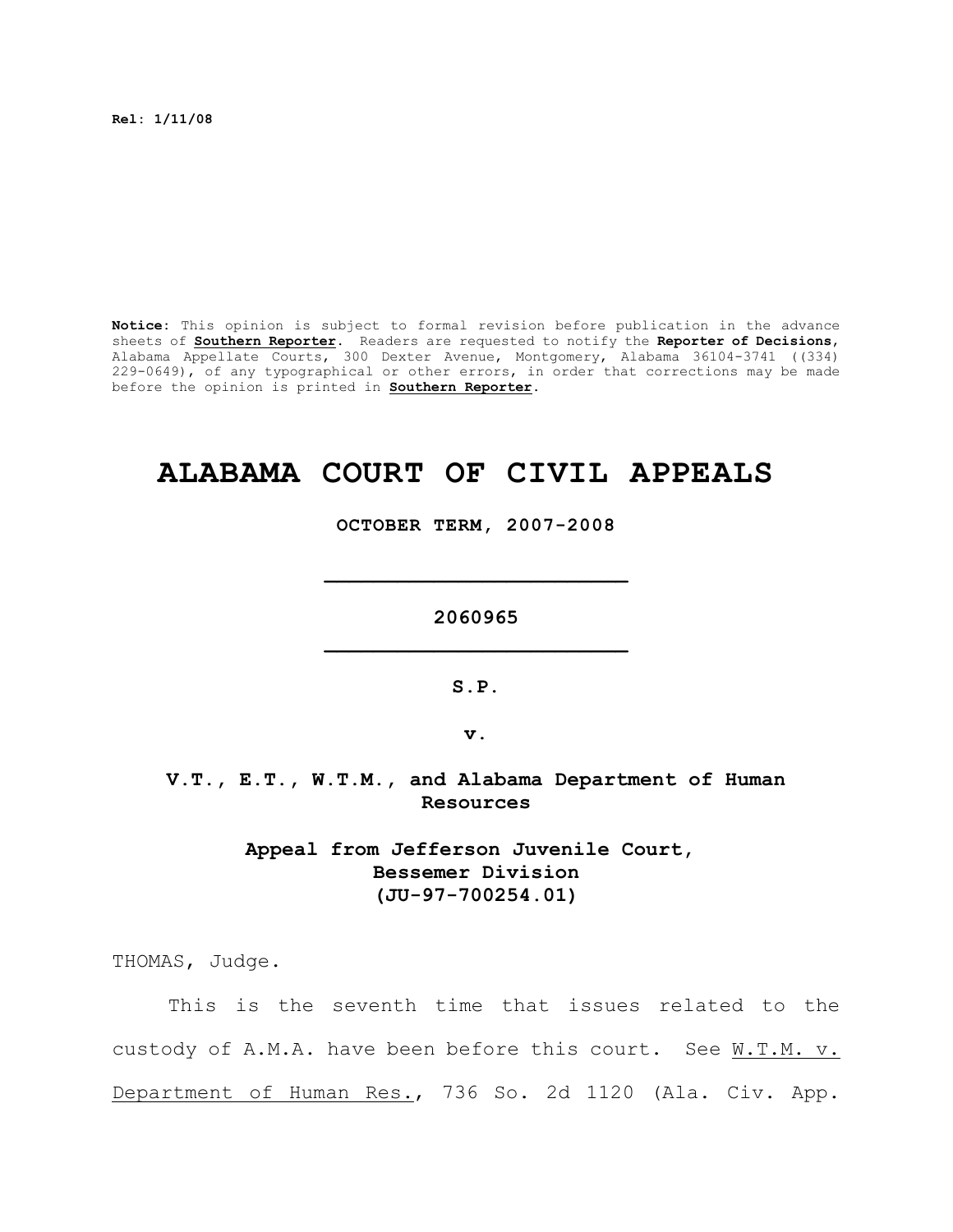**Rel: 1/11/08**

**Notice:** This opinion is subject to formal revision before publication in the advance sheets of **Southern Reporter**. Readers are requested to notify the **Reporter of Decisions**, Alabama Appellate Courts, 300 Dexter Avenue, Montgomery, Alabama 36104-3741 ((334) 229-0649), of any typographical or other errors, in order that corrections may be made before the opinion is printed in **Southern Reporter**.

## **ALABAMA COURT OF CIVIL APPEALS**

**OCTOBER TERM, 2007-2008**

**\_\_\_\_\_\_\_\_\_\_\_\_\_\_\_\_\_\_\_\_\_\_\_\_\_**

**2060965 \_\_\_\_\_\_\_\_\_\_\_\_\_\_\_\_\_\_\_\_\_\_\_\_\_**

**S.P.**

**v.**

**V.T., E.T., W.T.M., and Alabama Department of Human Resources**

> **Appeal from Jefferson Juvenile Court, Bessemer Division (JU-97-700254.01)**

THOMAS, Judge.

This is the seventh time that issues related to the custody of A.M.A. have been before this court. See W.T.M. v. Department of Human Res., 736 So. 2d 1120 (Ala. Civ. App.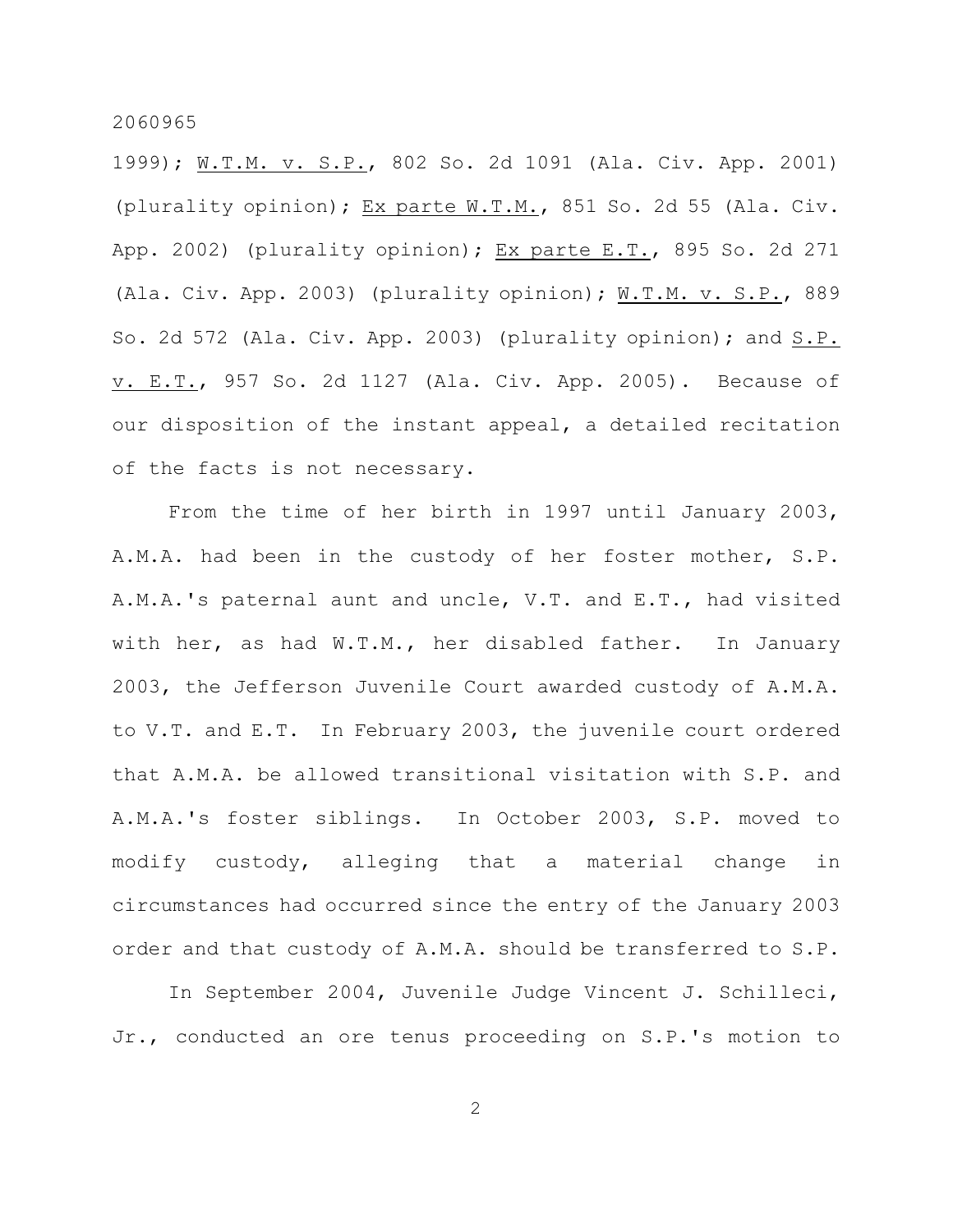1999); W.T.M. v. S.P., 802 So. 2d 1091 (Ala. Civ. App. 2001) (plurality opinion); Ex parte W.T.M., 851 So. 2d 55 (Ala. Civ. App. 2002) (plurality opinion); Ex parte E.T., 895 So. 2d 271 (Ala. Civ. App. 2003) (plurality opinion); W.T.M. v. S.P., 889 So. 2d 572 (Ala. Civ. App. 2003) (plurality opinion); and S.P. v. E.T., 957 So. 2d 1127 (Ala. Civ. App. 2005). Because of our disposition of the instant appeal, a detailed recitation of the facts is not necessary.

From the time of her birth in 1997 until January 2003, A.M.A. had been in the custody of her foster mother, S.P. A.M.A.'s paternal aunt and uncle, V.T. and E.T., had visited with her, as had W.T.M., her disabled father. In January 2003, the Jefferson Juvenile Court awarded custody of A.M.A. to V.T. and E.T. In February 2003, the juvenile court ordered that A.M.A. be allowed transitional visitation with S.P. and A.M.A.'s foster siblings. In October 2003, S.P. moved to modify custody, alleging that a material change in circumstances had occurred since the entry of the January 2003 order and that custody of A.M.A. should be transferred to S.P.

In September 2004, Juvenile Judge Vincent J. Schilleci, Jr., conducted an ore tenus proceeding on S.P.'s motion to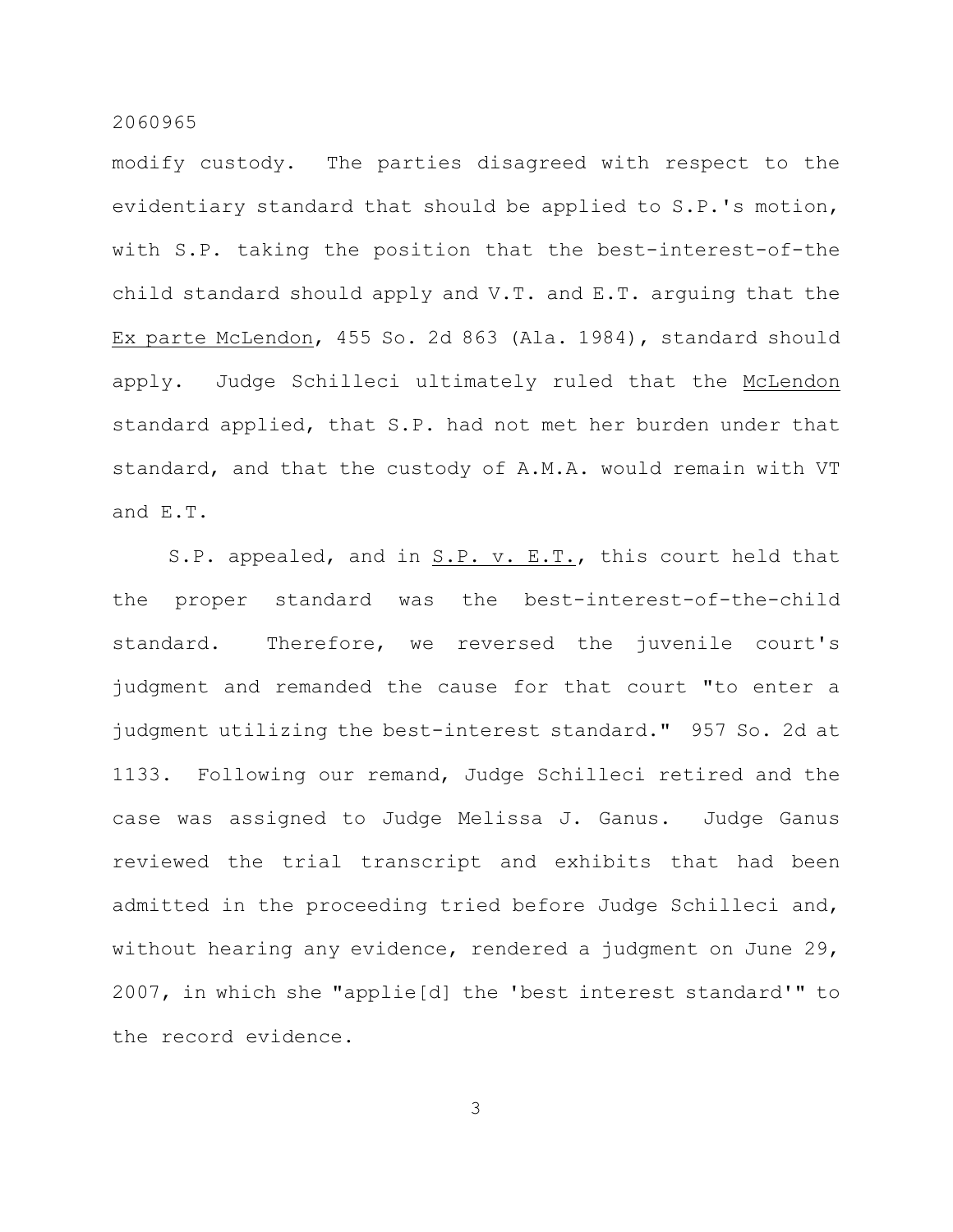modify custody. The parties disagreed with respect to the evidentiary standard that should be applied to S.P.'s motion, with S.P. taking the position that the best-interest-of-the child standard should apply and V.T. and E.T. arguing that the Ex parte McLendon, 455 So. 2d 863 (Ala. 1984), standard should apply. Judge Schilleci ultimately ruled that the McLendon standard applied, that S.P. had not met her burden under that standard, and that the custody of A.M.A. would remain with VT and E.T.

S.P. appealed, and in S.P. v. E.T., this court held that the proper standard was the best-interest-of-the-child standard. Therefore, we reversed the juvenile court's judgment and remanded the cause for that court "to enter a judgment utilizing the best-interest standard." 957 So. 2d at 1133. Following our remand, Judge Schilleci retired and the case was assigned to Judge Melissa J. Ganus. Judge Ganus reviewed the trial transcript and exhibits that had been admitted in the proceeding tried before Judge Schilleci and, without hearing any evidence, rendered a judgment on June 29, 2007, in which she "applie[d] the 'best interest standard'" to the record evidence.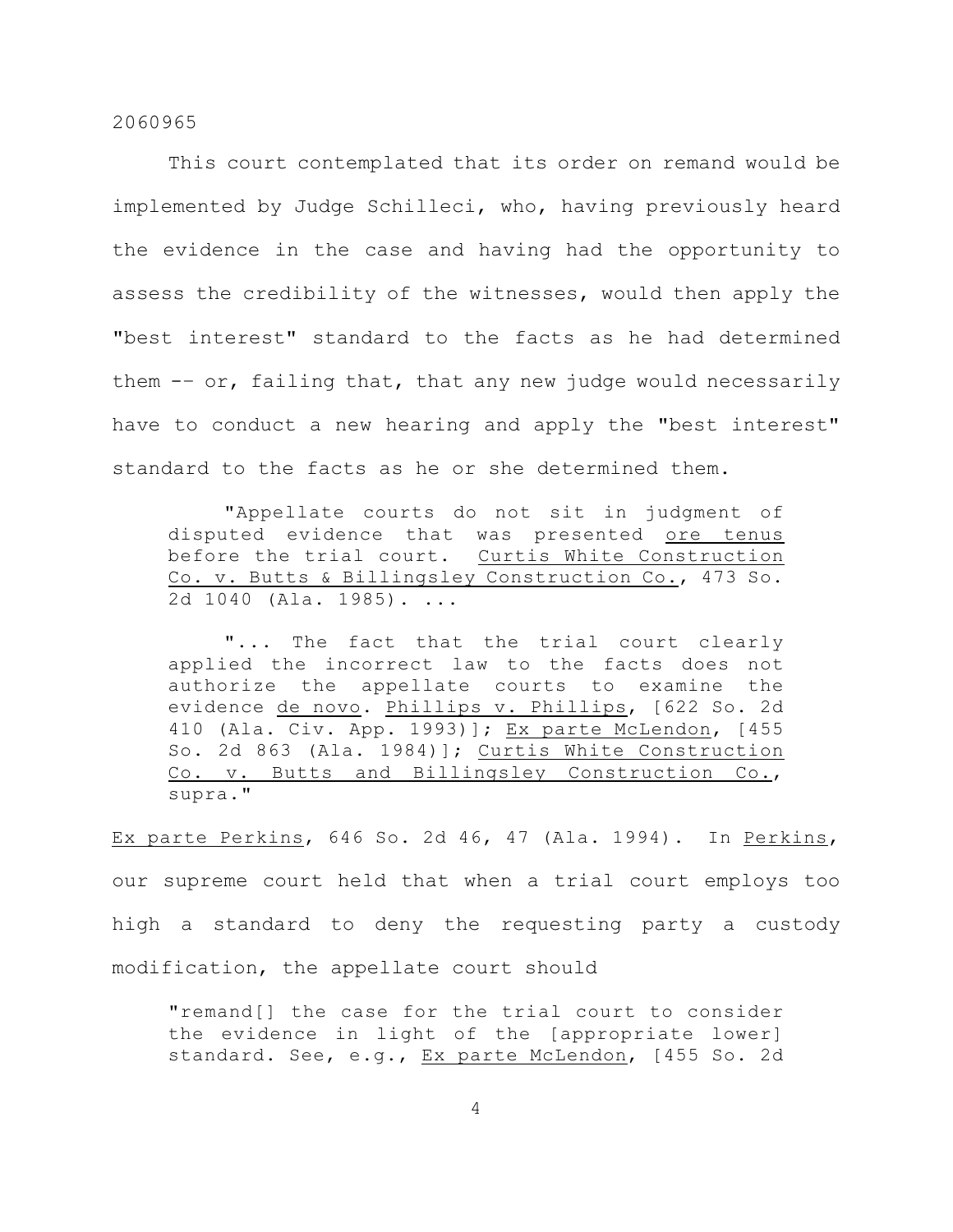This court contemplated that its order on remand would be implemented by Judge Schilleci, who, having previously heard the evidence in the case and having had the opportunity to assess the credibility of the witnesses, would then apply the "best interest" standard to the facts as he had determined them -– or, failing that, that any new judge would necessarily have to conduct a new hearing and apply the "best interest" standard to the facts as he or she determined them.

"Appellate courts do not sit in judgment of disputed evidence that was presented ore tenus before the trial court. Curtis White Construction Co. v. Butts & Billingsley Construction Co., 473 So. 2d 1040 (Ala. 1985). ...

"... The fact that the trial court clearly applied the incorrect law to the facts does not authorize the appellate courts to examine the evidence de novo. Phillips v. Phillips, [622 So. 2d 410 (Ala. Civ. App. 1993)]; Ex parte McLendon, [455 So. 2d 863 (Ala. 1984)]; Curtis White Construction Co. v. Butts and Billingsley Construction Co., supra."

Ex parte Perkins, 646 So. 2d 46, 47 (Ala. 1994). In Perkins, our supreme court held that when a trial court employs too high a standard to deny the requesting party a custody modification, the appellate court should

"remand[] the case for the trial court to consider the evidence in light of the [appropriate lower] standard. See, e.g., Ex parte McLendon, [455 So. 2d